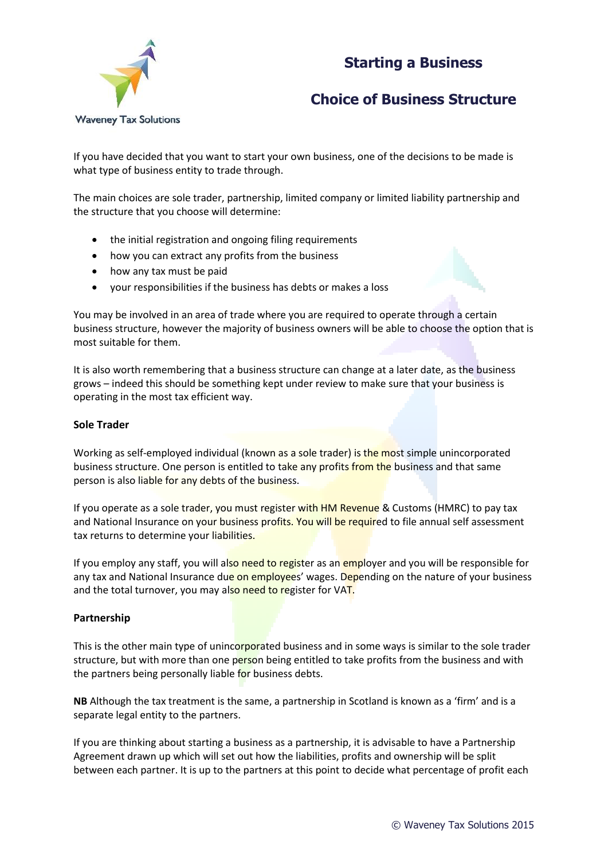## **Starting a Business**



# **Choice of Business Structure**

If you have decided that you want to start your own business, one of the decisions to be made is what type of business entity to trade through.

The main choices are sole trader, partnership, limited company or limited liability partnership and the structure that you choose will determine:

- the initial registration and ongoing filing requirements
- how you can extract any profits from the business
- how any tax must be paid
- your responsibilities if the business has debts or makes a loss

You may be involved in an area of trade where you are required to operate through a certain business structure, however the majority of business owners will be able to choose the option that is most suitable for them.

It is also worth remembering that a business structure can change at a later date, as the business grows – indeed this should be something kept under review to make sure that your business is operating in the most tax efficient way.

### **Sole Trader**

Working as self-employed individual (known as a sole trader) is the most simple unincorporated business structure. One person is entitled to take any profits from the business and that same person is also liable for any debts of the business.

If you operate as a sole trader, you must register with HM Revenue & Customs (HMRC) to pay tax and National Insurance on your business profits. You will be required to file annual self assessment tax returns to determine your liabilities.

If you employ any staff, you will also need to register as an employer and you will be responsible for any tax and National Insurance due on employees' wages. Depending on the nature of your business and the total turnover, you may also need to register for VAT.

#### **Partnership**

This is the other main type of unincorporated business and in some ways is similar to the sole trader structure, but with more than one person being entitled to take profits from the business and with the partners being personally liable for business debts.

**NB** Although the tax treatment is the same, a partnership in Scotland is known as a 'firm' and is a separate legal entity to the partners.

If you are thinking about starting a business as a partnership, it is advisable to have a Partnership Agreement drawn up which will set out how the liabilities, profits and ownership will be split between each partner. It is up to the partners at this point to decide what percentage of profit each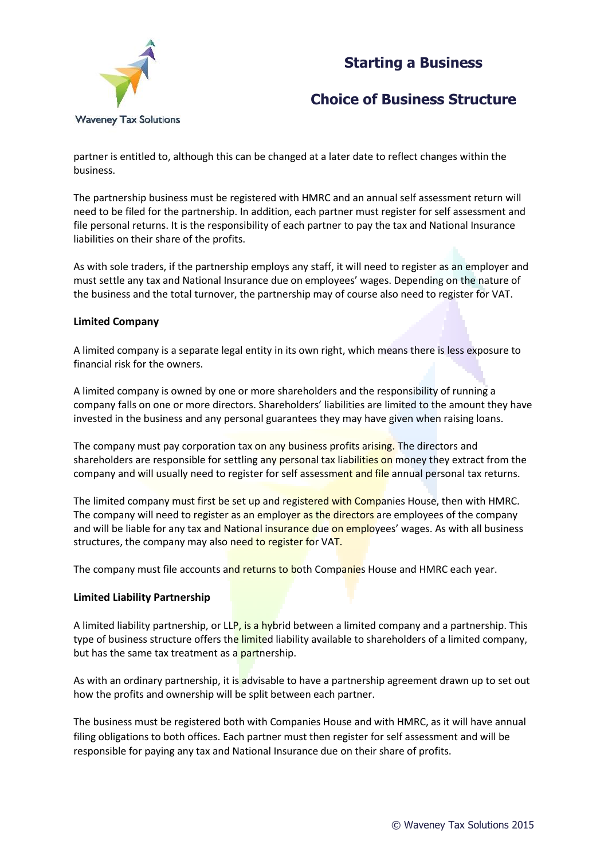### **Starting a Business**



# **Choice of Business Structure**

partner is entitled to, although this can be changed at a later date to reflect changes within the business.

The partnership business must be registered with HMRC and an annual self assessment return will need to be filed for the partnership. In addition, each partner must register for self assessment and file personal returns. It is the responsibility of each partner to pay the tax and National Insurance liabilities on their share of the profits.

As with sole traders, if the partnership employs any staff, it will need to register as an employer and must settle any tax and National Insurance due on employees' wages. Depending on the nature of the business and the total turnover, the partnership may of course also need to register for VAT.

### **Limited Company**

A limited company is a separate legal entity in its own right, which means there is less exposure to financial risk for the owners.

A limited company is owned by one or more shareholders and the responsibility of running a company falls on one or more directors. Shareholders' liabilities are limited to the amount they have invested in the business and any personal guarantees they may have given when raising loans.

The company must pay corporation tax on any business profits arising. The directors and shareholders are responsible for settling any personal tax liabilities on money they extract from the company and will usually need to register for self assessment and file annual personal tax returns.

The limited company must first be set up and registered with Companies House, then with HMRC. The company will need to register as an employer as the directors are employees of the company and will be liable for any tax and National insurance due on employees' wages. As with all business structures, the company may also need to register for VAT.

The company must file accounts and returns to both Companies House and HMRC each year.

#### **Limited Liability Partnership**

A limited liability partnership, or LLP, is a hybrid between a limited company and a partnership. This type of business structure offers the limited liability available to shareholders of a limited company, but has the same tax treatment as a partnership.

As with an ordinary partnership, it is advisable to have a partnership agreement drawn up to set out how the profits and ownership will be split between each partner.

The business must be registered both with Companies House and with HMRC, as it will have annual filing obligations to both offices. Each partner must then register for self assessment and will be responsible for paying any tax and National Insurance due on their share of profits.